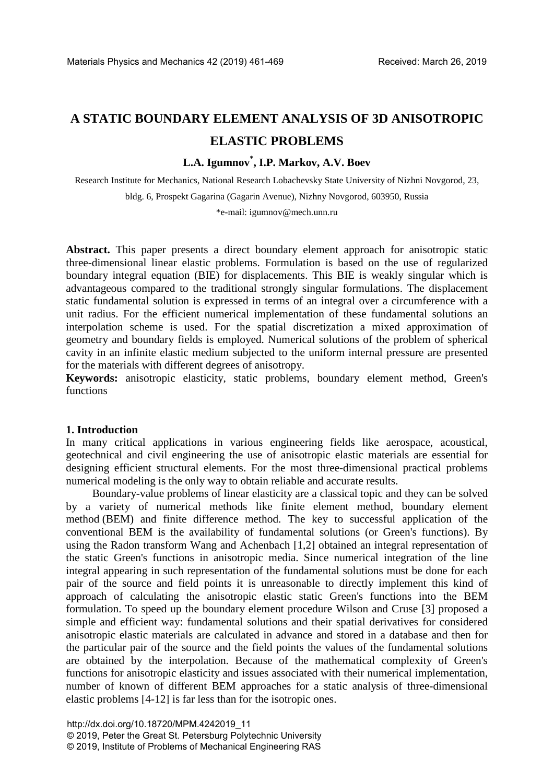# **A STATIC BOUNDARY ELEMENT ANALYSIS OF 3D ANISOTROPIC ELASTIC PROBLEMS**

# **L.A. Igumnov\* , I.P. Markov, A.V. Boev**

Research Institute for Mechanics, National Research Lobachevsky State University of Nizhni Novgorod, 23, bldg. 6, Prospekt Gagarina (Gagarin Avenue), Nizhny Novgorod, 603950, Russia

\*e-mail: igumnov@mech.unn.ru

**Abstract.** This paper presents a direct boundary element approach for anisotropic static three-dimensional linear elastic problems. Formulation is based on the use of regularized boundary integral equation (BIE) for displacements. This BIE is weakly singular which is advantageous compared to the traditional strongly singular formulations. The displacement static fundamental solution is expressed in terms of an integral over a circumference with a unit radius. For the efficient numerical implementation of these fundamental solutions an interpolation scheme is used. For the spatial discretization a mixed approximation of geometry and boundary fields is employed. Numerical solutions of the problem of spherical cavity in an infinite elastic medium subjected to the uniform internal pressure are presented for the materials with different degrees of anisotropy.

**Keywords:** anisotropic elasticity, static problems, boundary element method, Green's functions

## **1. Introduction**

In many critical applications in various engineering fields like aerospace, acoustical, geotechnical and civil engineering the use of anisotropic elastic materials are essential for designing efficient structural elements. For the most three-dimensional practical problems numerical modeling is the only way to obtain reliable and accurate results.

Boundary-value problems of linear elasticity are a classical topic and they can be solved by a variety of numerical methods like finite element method, boundary element method (BEM) and finite difference method. The key to successful application of the conventional BEM is the availability of fundamental solutions (or Green's functions). By using the Radon transform Wang and Achenbach [1,2] obtained an integral representation of the static Green's functions in anisotropic media. Since numerical integration of the line integral appearing in such representation of the fundamental solutions must be done for each pair of the source and field points it is unreasonable to directly implement this kind of approach of calculating the anisotropic elastic static Green's functions into the BEM formulation. To speed up the boundary element procedure Wilson and Cruse [3] proposed a simple and efficient way: fundamental solutions and their spatial derivatives for considered anisotropic elastic materials are calculated in advance and stored in a database and then for the particular pair of the source and the field points the values of the fundamental solutions are obtained by the interpolation. Because of the mathematical complexity of Green's functions for anisotropic elasticity and issues associated with their numerical implementation, number of known of different BEM approaches for a static analysis of three-dimensional elastic problems [4-12] is far less than for the isotropic ones.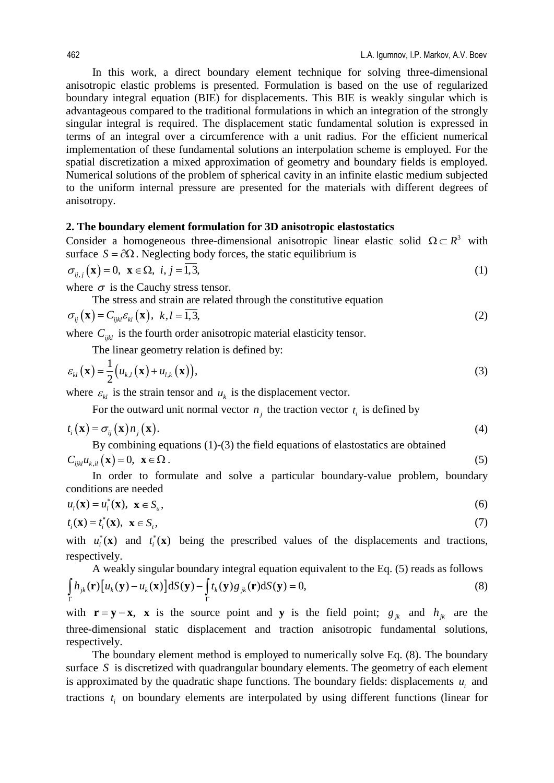In this work, a direct boundary element technique for solving three-dimensional anisotropic elastic problems is presented. Formulation is based on the use of regularized boundary integral equation (BIE) for displacements. This BIE is weakly singular which is advantageous compared to the traditional formulations in which an integration of the strongly singular integral is required. The displacement static fundamental solution is expressed in terms of an integral over a circumference with a unit radius. For the efficient numerical implementation of these fundamental solutions an interpolation scheme is employed. For the spatial discretization a mixed approximation of geometry and boundary fields is employed. Numerical solutions of the problem of spherical cavity in an infinite elastic medium subjected to the uniform internal pressure are presented for the materials with different degrees of anisotropy.

#### **2. The boundary element formulation for 3D anisotropic elastostatics**

Consider a homogeneous three-dimensional anisotropic linear elastic solid  $\Omega \subset R^3$  with surface  $S = \partial \Omega$ . Neglecting body forces, the static equilibrium is

$$
\sigma_{ij,j}(\mathbf{x}) = 0, \ \mathbf{x} \in \Omega, \ i, j = 1, 3,
$$
\n<sup>(1)</sup>

where  $\sigma$  is the Cauchy stress tensor.

The stress and strain are related through the constitutive equation

$$
\sigma_{ij}(\mathbf{x}) = C_{ijkl} \varepsilon_{kl}(\mathbf{x}), \ k, l = 1, 3,
$$
\n(2)

where  $C_{ijkl}$  is the fourth order anisotropic material elasticity tensor.

The linear geometry relation is defined by:

$$
\varepsilon_{kl}(\mathbf{x}) = \frac{1}{2} \big( u_{k,l}(\mathbf{x}) + u_{l,k}(\mathbf{x}) \big),\tag{3}
$$

where  $\varepsilon_{kl}$  is the strain tensor and  $u_k$  is the displacement vector.

For the outward unit normal vector  $n_i$  the traction vector  $t_i$  is defined by

$$
t_i(\mathbf{x}) = \sigma_{ij}(\mathbf{x}) n_j(\mathbf{x}). \tag{4}
$$

By combining equations (1)-(3) the field equations of elastostatics are obtained  $C_{ijkl} u_{k,il}(\mathbf{x}) = 0, \ \mathbf{x} \in \Omega$ . (5)

In order to formulate and solve a particular boundary-value problem, boundary conditions are needed

$$
u_i(\mathbf{x}) = u_i^*(\mathbf{x}), \ \mathbf{x} \in S_u,\tag{6}
$$

$$
t_i(\mathbf{x}) = t_i^*(\mathbf{x}), \ \mathbf{x} \in S_i,\tag{7}
$$

with  $u_i^*(\mathbf{x})$  and  $t_i^*(\mathbf{x})$  being the prescribed values of the displacements and tractions, respectively.

A weakly singular boundary integral equation equivalent to the Eq. (5) reads as follows\n
$$
\int_{\Gamma} h_{jk}(\mathbf{r}) \left[ u_k(\mathbf{y}) - u_k(\mathbf{x}) \right] dS(\mathbf{y}) - \int_{\Gamma} t_k(\mathbf{y}) g_{jk}(\mathbf{r}) dS(\mathbf{y}) = 0,
$$
\n(8)

with  $\mathbf{r} = \mathbf{y} - \mathbf{x}$ , **x** is the source point and **y** is the field point;  $g_{ik}$  and  $h_{ik}$  are the three-dimensional static displacement and traction anisotropic fundamental solutions, respectively.

The boundary element method is employed to numerically solve Eq. (8). The boundary surface *S* is discretized with quadrangular boundary elements. The geometry of each element is approximated by the quadratic shape functions. The boundary fields: displacements  $u_i$  and tractions  $t_i$  on boundary elements are interpolated by using different functions (linear for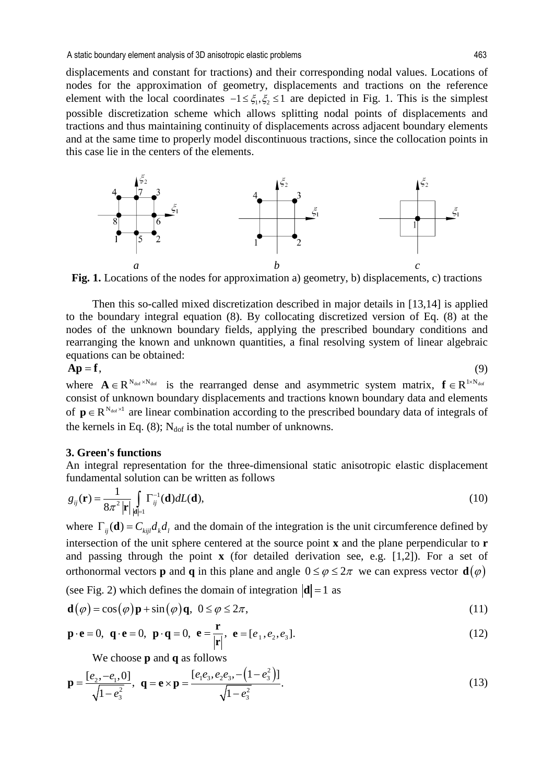displacements and constant for tractions) and their corresponding nodal values. Locations of nodes for the approximation of geometry, displacements and tractions on the reference element with the local coordinates  $-1 \le \xi_1, \xi_2 \le 1$  are depicted in Fig. 1. This is the simplest possible discretization scheme which allows splitting nodal points of displacements and tractions and thus maintaining continuity of displacements across adjacent boundary elements and at the same time to properly model discontinuous tractions, since the collocation points in this case lie in the centers of the elements.



**Fig. 1.** Locations of the nodes for approximation a) geometry, b) displacements, c) tractions

Then this so-called mixed discretization described in major details in [13,14] is applied to the boundary integral equation (8). By collocating discretized version of Eq. (8) at the nodes of the unknown boundary fields, applying the prescribed boundary conditions and rearranging the known and unknown quantities, a final resolving system of linear algebraic equations can be obtained:

$$
Ap = f, \tag{9}
$$

where  $A \in R^{N_{\text{dof}} \times N_{\text{dof}}}$  is the rearranged dense and asymmetric system matrix,  $f \in R^{1 \times N_{\text{dof}}}$ consist of unknown boundary displacements and tractions known boundary data and elements of  $p \in R^{N_{\text{dot}} \times 1}$  are linear combination according to the prescribed boundary data of integrals of the kernels in Eq. (8);  $N_{\text{dof}}$  is the total number of unknowns.

## **3. Green's functions**

An integral representation for the three-dimensional static anisotropic elastic displacement fundamental solution can be written as follows

$$
g_{ij}(\mathbf{r}) = \frac{1}{8\pi^2 |\mathbf{r}|} \int_{|\mathbf{d}|=1} \Gamma_{ij}^{-1}(\mathbf{d}) dL(\mathbf{d}),
$$
\n(10)

where  $\Gamma_{ii}(\mathbf{d}) = C_{kii} d_k d_l$  and the domain of the integration is the unit circumference defined by intersection of the unit sphere centered at the source point **x** and the plane perpendicular to **r** and passing through the point **x** (for detailed derivation see, e.g. [1,2]). For a set of orthonormal vectors **p** and **q** in this plane and angle  $0 \le \varphi \le 2\pi$  we can express vector **d**( $\varphi$ )

(see Fig. 2) which defines the domain of integration  $|\mathbf{d}| = 1$  as

$$
\mathbf{d}(\varphi) = \cos(\varphi)\mathbf{p} + \sin(\varphi)\mathbf{q}, \ \ 0 \le \varphi \le 2\pi,\tag{11}
$$

$$
\mathbf{p} \cdot \mathbf{e} = 0, \ \mathbf{q} \cdot \mathbf{e} = 0, \ \mathbf{p} \cdot \mathbf{q} = 0, \ \mathbf{e} = \frac{\mathbf{r}}{|\mathbf{r}|}, \ \mathbf{e} = [e_1, e_2, e_3]. \tag{12}
$$

We choose **p** and **q** as follows

$$
\mathbf{p} = \frac{[e_2, -e_1, 0]}{\sqrt{1 - e_3^2}}, \quad \mathbf{q} = \mathbf{e} \times \mathbf{p} = \frac{[e_1 e_3, e_2 e_3, -(1 - e_3^2)]}{\sqrt{1 - e_3^2}}.
$$
\n(13)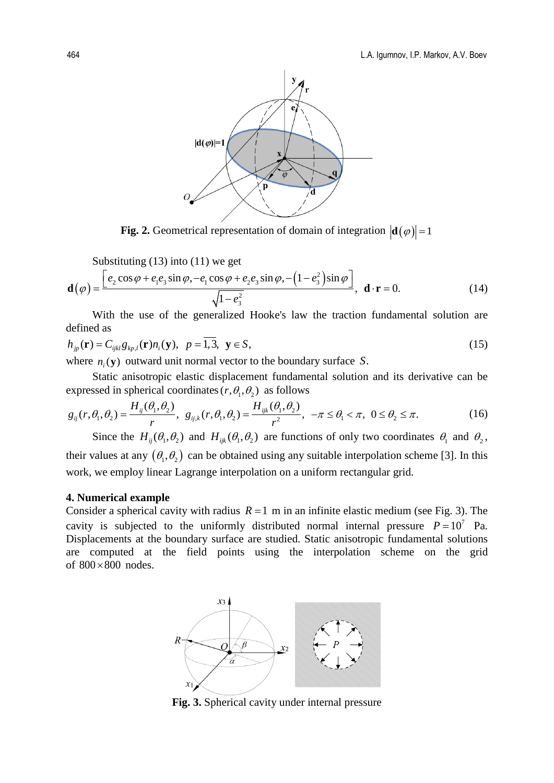

**Fig. 2.** Geometrical representation of domain of integration  $|\mathbf{d}(\varphi)| = 1$ 

Substituting (13) into (11) we get

$$
\mathbf{d}(\varphi) = \frac{\left[e_2 \cos \varphi + e_1 e_3 \sin \varphi, -e_1 \cos \varphi + e_2 e_3 \sin \varphi, -\left(1 - e_3^2\right) \sin \varphi\right]}{\sqrt{1 - e_3^2}}, \quad \mathbf{d} \cdot \mathbf{r} = 0.
$$
 (14)

With the use of the generalized Hooke's law the traction fundamental solution are defined as

$$
h_{jp}(\mathbf{r}) = C_{ijkl} g_{kp,l}(\mathbf{r}) n_i(\mathbf{y}), \quad p = \overline{1,3}, \quad \mathbf{y} \in S,
$$
\n
$$
(15)
$$

where  $n_i$  (**y**) outward unit normal vector to the boundary surface *S*.

Static anisotropic elastic displacement fundamental solution and its derivative can be expressed in spherical coordinates  $(r, \theta_1, \theta_2)$  as follows

$$
g_{ij}(r,\theta_1,\theta_2) = \frac{H_{ij}(\theta_1,\theta_2)}{r}, \ \ g_{ij,k}(r,\theta_1,\theta_2) = \frac{H_{ijk}(\theta_1,\theta_2)}{r^2}, \ -\pi \le \theta_1 < \pi, \ 0 \le \theta_2 \le \pi. \tag{16}
$$

Since the  $H_{ii}(\theta_1, \theta_2)$  and  $H_{iik}(\theta_1, \theta_2)$  are functions of only two coordinates  $\theta_1$  and  $\theta_2$ , their values at any  $(\theta_1, \theta_2)$  can be obtained using any suitable interpolation scheme [3]. In this work, we employ linear Lagrange interpolation on a uniform rectangular grid.

#### **4. Numerical example**

Consider a spherical cavity with radius  $R = 1$  m in an infinite elastic medium (see Fig. 3). The cavity is subjected to the uniformly distributed normal internal pressure  $P = 10^7$  Pa. Displacements at the boundary surface are studied. Static anisotropic fundamental solutions are computed at the field points using the interpolation scheme on the grid of  $800 \times 800$  nodes.



**Fig. 3.** Spherical cavity under internal pressure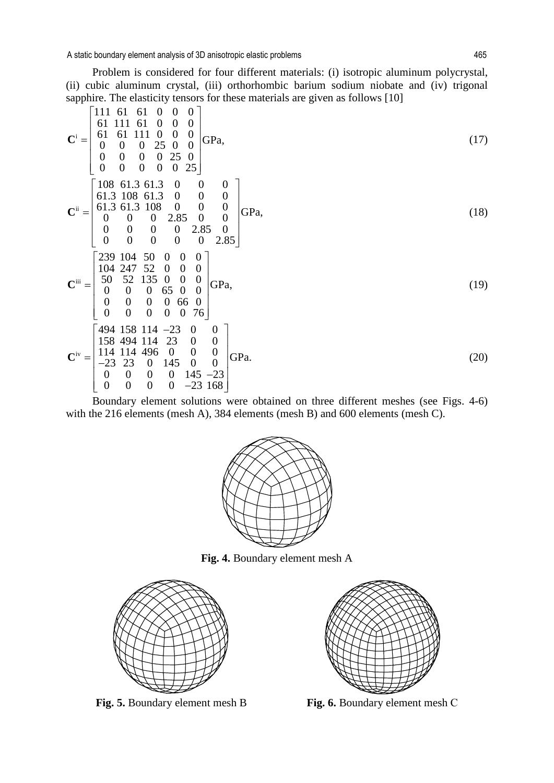A static boundary element analysis of 3D anisotropic elastic problems 465

Problem is considered for four different materials: (i) isotropic aluminum polycrystal, (ii) cubic aluminum crystal, (iii) orthorhombic barium sodium niobate and (iv) trigonal sapphire. The elasticity tensors for these materials are given as follows [10]

$$
\mathbf{C}^{\mathbf{i}} = \begin{bmatrix}\n111 & 61 & 61 & 0 & 0 & 0 \\
61 & 111 & 61 & 0 & 0 & 0 \\
0 & 0 & 0 & 25 & 0 & 0 \\
0 & 0 & 0 & 0 & 25 & 0 \\
0 & 0 & 0 & 0 & 0 & 25 \\
0 & 0 & 0 & 0 & 0 & 25\n\end{bmatrix}
$$
\n
$$
\mathbf{C}^{\mathbf{i}} = \begin{bmatrix}\n108 & 61.3 & 61.3 & 0 & 0 & 0 \\
61.3 & 108 & 61.3 & 0 & 0 & 0 \\
61.3 & 108 & 61.3 & 0 & 0 & 0 \\
0 & 0 & 0 & 2.85 & 0 & 0 \\
0 & 0 & 0 & 0 & 2.85 & 0 \\
0 & 0 & 0 & 0 & 0 & 2.85\n\end{bmatrix}
$$
\n
$$
\mathbf{C}^{\mathbf{ii}} = \begin{bmatrix}\n239 & 104 & 50 & 0 & 0 & 0 \\
104 & 247 & 52 & 0 & 0 & 0 \\
50 & 52 & 135 & 0 & 0 & 0 \\
0 & 0 & 0 & 65 & 0 & 0 \\
0 & 0 & 0 & 65 & 0 & 0 \\
0 & 0 & 0 & 0 & 65\n\end{bmatrix}
$$
\n
$$
\mathbf{C}^{\mathbf{iii}} = \begin{bmatrix}\n494 & 158 & 114 & -23 & 0 & 0 \\
494 & 158 & 114 & -23 & 0 & 0 \\
114 & 114 & 493 & 0 & 0 & 0 \\
114 & 114 & 493 & 0 & 0 & 0 \\
-23 & 23 & 0 & 145 & 0 & 0 \\
0 & 0 & 0 & 0 & 145 & -23 \\
0 & 0 & 0 & 0 & -23 & 168\n\end{bmatrix}
$$
\n
$$
(20)
$$

Boundary element solutions were obtained on three different meshes (see Figs. 4-6) with the 216 elements (mesh A), 384 elements (mesh B) and 600 elements (mesh C).



**Fig. 4.** Boundary element mesh A



**Fig. 5.** Boundary element mesh B **Fig. 6.** Boundary element mesh С

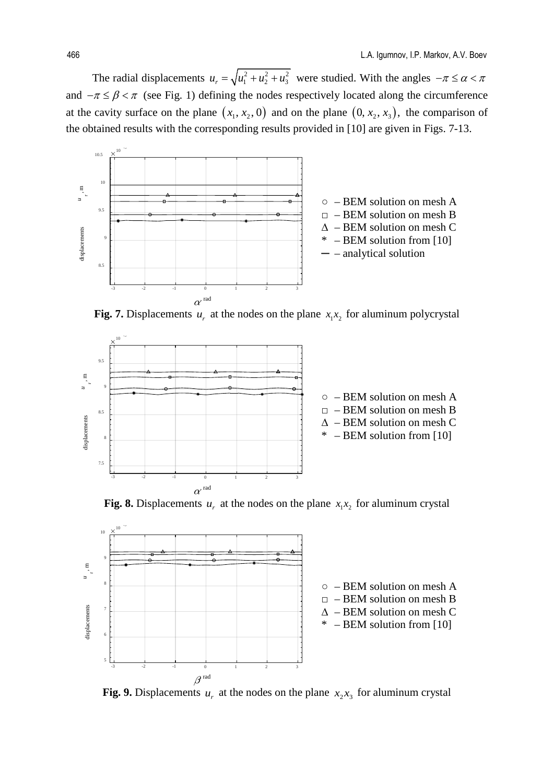The radial displacements  $u_r = \sqrt{u_1^2 + u_2^2 + u_3^2}$  were studied. With the angles  $-\pi \le \alpha < \pi$ and  $-\pi \leq \beta < \pi$  (see Fig. 1) defining the nodes respectively located along the circumference at the cavity surface on the plane  $(x_1, x_2, 0)$  and on the plane  $(0, x_2, x_3)$ , the comparison of the obtained results with the corresponding results provided in [10] are given in Figs. 7-13.



**Fig. 7.** Displacements  $u_r$  at the nodes on the plane  $x_1x_2$  for aluminum polycrystal



**Fig. 8.** Displacements  $u_r$  at the nodes on the plane  $x_1x_2$  for aluminum crystal



**Fig. 9.** Displacements  $u_r$  at the nodes on the plane  $x_2x_3$  for aluminum crystal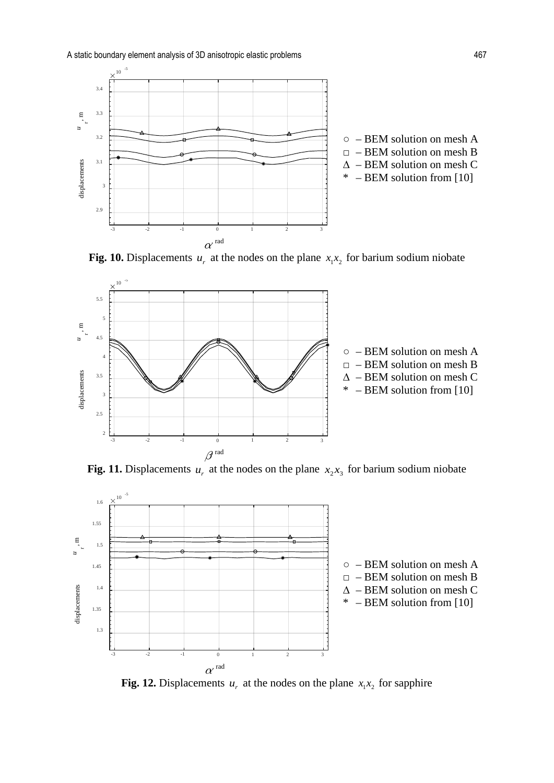A static boundary element analysis of 3D anisotropic elastic problems 467







**Fig. 11.** Displacements  $u_r$  at the nodes on the plane  $x_2x_3$  for barium sodium niobate



**Fig. 12.** Displacements  $u_r$  at the nodes on the plane  $x_1x_2$  for sapphire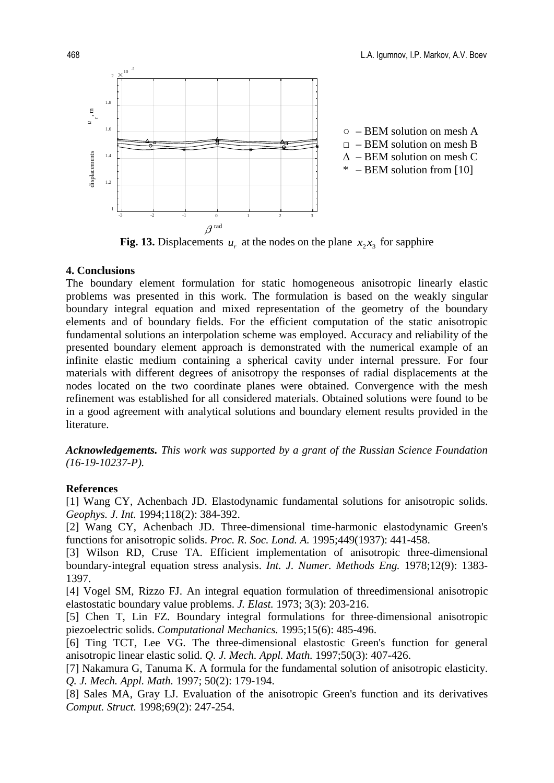

**Fig. 13.** Displacements  $u_r$  at the nodes on the plane  $x_2$ , for sapphire

## **4. Conclusions**

The boundary element formulation for static homogeneous anisotropic linearly elastic problems was presented in this work. The formulation is based on the weakly singular boundary integral equation and mixed representation of the geometry of the boundary elements and of boundary fields. For the efficient computation of the static anisotropic fundamental solutions an interpolation scheme was employed. Accuracy and reliability of the presented boundary element approach is demonstrated with the numerical example of an infinite elastic medium containing a spherical cavity under internal pressure. For four materials with different degrees of anisotropy the responses of radial displacements at the nodes located on the two coordinate planes were obtained. Convergence with the mesh refinement was established for all considered materials. Obtained solutions were found to be in a good agreement with analytical solutions and boundary element results provided in the literature.

*Acknowledgements. This work was supported by a grant of the Russian Science Foundation (16-19-10237-P).*

## **References**

[1] Wang CY, Achenbach JD. Elastodynamic fundamental solutions for anisotropic solids. *Geophys. J. Int.* 1994;118(2): 384-392.

[2] Wang CY, Achenbach JD. Three-dimensional time-harmonic elastodynamic Green's functions for anisotropic solids. *Proc. R. Soc. Lond. A.* 1995;449(1937): 441-458.

[3] Wilson RD, Cruse TA. Efficient implementation of anisotropic three-dimensional boundary-integral equation stress analysis. *Int. J. Numer. Methods Eng.* 1978;12(9): 1383- 1397.

[4] Vogel SM, Rizzo FJ. An integral equation formulation of threedimensional anisotropic elastostatic boundary value problems. *J. Elast.* 1973; 3(3): 203-216.

[5] Chen T, Lin FZ. Boundary integral formulations for three-dimensional anisotropic piezoelectric solids. *Computational Mechanics.* 1995;15(6): 485-496.

[6] Ting TCT, Lee VG. The three-dimensional elastostic Green's function for general anisotropic linear elastic solid. *Q. J. Mech. Appl. Math.* 1997;50(3): 407-426.

[7] Nakamura G, Tanuma K. A formula for the fundamental solution of anisotropic elasticity. *Q. J. Mech. Appl. Math.* 1997; 50(2): 179-194.

[8] Sales MA, Gray LJ. Evaluation of the anisotropic Green's function and its derivatives *Comput. Struct.* 1998;69(2): 247-254.